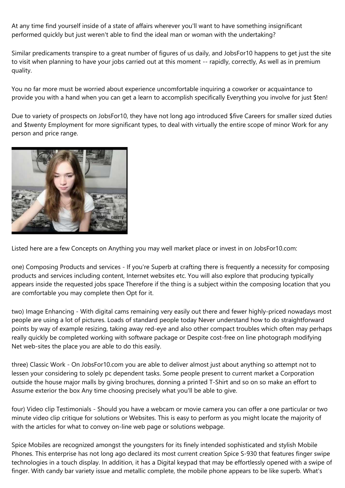At any time find yourself inside of a state of affairs wherever you'll want to have something insignificant performed quickly but just weren't able to find the ideal man or woman with the undertaking?

Similar predicaments transpire to a great number of figures of us daily, and JobsFor10 happens to get just the site to visit when planning to have your jobs carried out at this moment -- rapidly, correctly, As well as in premium quality.

You no far more must be worried about experience uncomfortable inquiring a coworker or acquaintance to provide you with a hand when you can get a learn to accomplish specifically Everything you involve for just \$ten!

Due to variety of prospects on JobsFor10, they have not long ago introduced \$five Careers for smaller sized duties and \$twenty Employment for more significant types, to deal with virtually the entire scope of minor Work for any person and price range.



Listed here are a few Concepts on Anything you may well market place or invest in on JobsFor10.com:

one) Composing Products and services - If you're Superb at crafting there is frequently a necessity for composing products and services including content, Internet websites etc. You will also explore that producing typically appears inside the requested jobs space Therefore if the thing is a subject within the composing location that you are comfortable you may complete then Opt for it.

two) Image Enhancing - With digital cams remaining very easily out there and fewer highly-priced nowadays most people are using a lot of pictures. Loads of standard people today Never understand how to do straightforward points by way of example resizing, taking away red-eye and also other compact troubles which often may perhaps really quickly be completed working with software package or Despite cost-free on line photograph modifying Net web-sites the place you are able to do this easily.

three) Classic Work - On JobsFor10.com you are able to deliver almost just about anything so attempt not to lessen your considering to solely pc dependent tasks. Some people present to current market a Corporation outside the house major malls by giving brochures, donning a printed T-Shirt and so on so make an effort to Assume exterior the box Any time choosing precisely what you'll be able to give.

four) Video clip Testimonials - Should you have a webcam or movie camera you can offer a one particular or two minute video clip critique for solutions or Websites. This is easy to perform as you might locate the majority of with the articles for what to convey on-line web page or solutions webpage.

Spice Mobiles are recognized amongst the youngsters for its finely intended sophisticated and stylish Mobile Phones. This enterprise has not long ago declared its most current creation Spice S-930 that features finger swipe technologies in a touch display. In addition, it has a Digital keypad that may be effortlessly opened with a swipe of finger. With candy bar variety issue and metallic complete, the mobile phone appears to be like superb. What's